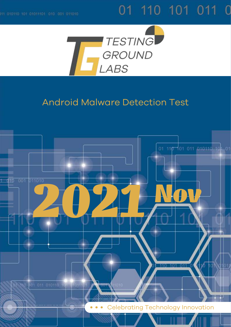# 01 110 101 011 0



## Android Malware Detection Test

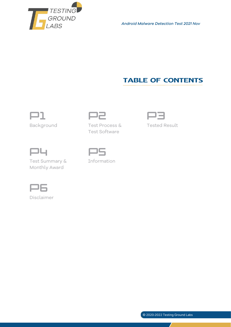

*Android Malware Detection Test 2021 Nov*

### **TABLE OF CONTENTS**





Background Test Process & Test Software



Tested Result



Test Summary & Monthly Award



Information



Disclaimer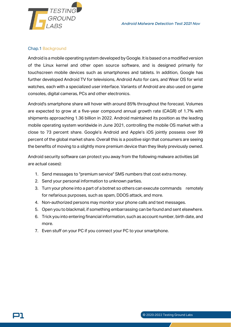

#### Chap.1 Background

Android is a mobile operating system developed by Google. It is based on a modified version of the Linux kernel and other open source software, and is designed primarily for touchscreen mobile devices such as smartphones and tablets. In addition, Google has further developed Android TV for televisions, Android Auto for cars, and Wear OS for wrist watches, each with a specialized user interface. Variants of Android are also used on game consoles, digital cameras, PCs and other electronics.

Android's smartphone share will hover with around 85% throughout the forecast. Volumes are expected to grow at a five-year compound annual growth rate (CAGR) of 1.7% with shipments approaching 1.36 billion in 2022. Android maintained its position as the leading mobile operating system worldwide in June 2021, controlling the mobile OS market with a close to 73 percent share. Google's Android and Apple's iOS jointly possess over 99 percent of the global market share. Overall this is a positive sign that consumers are seeing the benefits of moving to a slightly more premium device than they likely previously owned.

Android security software can protect you away from the following malware activities (all are actual cases):

- 1. Send messages to "premium service" SMS numbers that cost extra money.
- 2. Send your personal information to unknown parties.
- 3. Turn your phone into a part of a botnet so others can execute commands remotely for nefarious purposes, such as spam, DDOS attack, and more.
- 4. Non-authorized persons may monitor your phone calls and text messages.
- 5. Open you to blackmail, if something embarrassing can be found and sent elsewhere.
- 6. Trick you into entering financial information, such as account number, birth date, and more.
- 7. Even stuff on your PC if you connect your PC to your smartphone.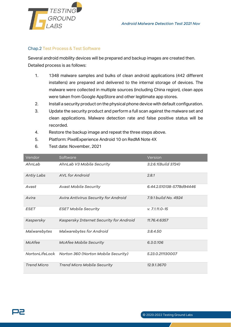

#### Chap.2 Test Process & Test Software

Several android mobility devices will be prepared and backup images are created then. Detailed process is as follows:

- 1. 1348 malware samples and bulks of clean android applications (442 different installers) are prepared and delivered to the internal storage of devices. The malware were collected in multiple sources (including China region), clean apps were taken from Google AppStore and other legitimate app stores.
- 2. Install a security product on the physical phone device with default configuration.
- 3. Update the security product and perform a full scan against the malware set and clean applications. Malware detection rate and false positive status will be recorded.
- 4. Restore the backup image and repeat the three steps above.
- 5. Platform: PixelExperience Android 10 on RedMi Note 4X
- 6. Test date: November, 2021

| Vendor             | Software                                           | Version                  |
|--------------------|----------------------------------------------------|--------------------------|
| AhnLab             | AhnLab V3 Mobile Security                          | 3.2.6.1(Build 3724)      |
| <b>Antiy Labs</b>  | AVL for Android                                    | 2.8.1                    |
| Avast              | <b>Avast Mobile Security</b>                       | 6.44.2.510138-5778d94446 |
| Avira              | Avira Antivirus Security for Android               | 7.9.1 build No. 4924     |
| <b>ESET</b>        | <b>ESET Mobile Security</b>                        | $v. 7.1.11.0 - 15$       |
| Kaspersky          | Kaspersky Internet Security for Android            | 11.76.4.6357             |
| Malwarebytes       | Malwarebytes for Android                           | 3.8.4.50                 |
| McAfee             | <b>McAfee Mobile Security</b>                      | 6.3.0.106                |
|                    | NortonLifeLock Norton 360 (Norton Mobile Security) | 5.23.0.211130007         |
| <b>Trend Micro</b> | <b>Trend Micro Mobile Security</b>                 | 12.9.1.3670              |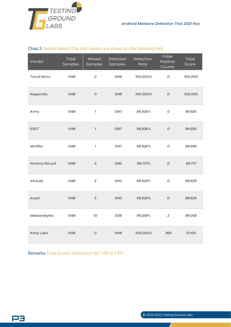

#### Chap.3 Tested Result (The test results are shown on the following tab)

| Vendor             | Total<br>Samples | Missed<br>Samples | Detected<br>Samples | Detection<br>Rate | False<br>Positive<br>Counts | Total<br>Score |
|--------------------|------------------|-------------------|---------------------|-------------------|-----------------------------|----------------|
| <b>Trend Micro</b> | 1348             | 0                 | 1348                | 100.000%          | О                           | 100.000        |
| Kaspersky          | 1348             | ${\cal O}$        | 1348                | 100.000%          | $\cal O$                    | 100.000        |
| Avira              | 1348             | $\mathcal{I}$     | 1347                | 99.926%           | $\cal O$                    | 99.926         |
| <b>ESET</b>        | 1348             | $\mathcal I$      | 1347                | 99.926%           | $\overline{O}$              | 99.926         |
| McAfee             | 1348             | $\mathcal I$      | 1347                | 99.926%           | O                           | 99.926         |
| NortonLifeLock     | 1348             | $\sqrt{3}$        | 1345                | 99.777%           | $\cal O$                    | 99.777         |
| AhnLab             | 1348             | 5                 | 1343                | 99.629%           | $\cal O$                    | 99.629         |
| Avast              | 1348             | $\sqrt{5}$        | 1343                | 99.629%           | $\overline{O}$              | 99.629         |
| Malwarebytes       | 1348             | 10                | 1338                | 99.258%           | $\overline{2}$              | 99.058         |
| Antiy Labs         | 1348             | ${\cal O}$        | 1348                | 100.000%          | 269                         | 73.100         |

Remarks: Final Score= (Detection %) \*100-0.1\*FP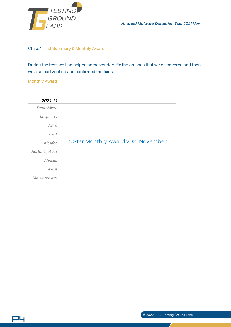

*Android Malware Detection Test 2021 Nov*

#### Chap.4 Test Summary & Monthly Award

During the test, we had helped some vendors fix the crashes that we discovered and then we also had verified and confirmed the fixes.

#### Monthly Award

P4

| 2021.11            |                                    |
|--------------------|------------------------------------|
| <b>Trend Micro</b> |                                    |
| Kaspersky          |                                    |
| Avira              |                                    |
| <b>ESET</b>        |                                    |
| McAfee             | 5 Star Monthly Award 2021 November |
| NortonLifeLock     |                                    |
| AhnLab             |                                    |
| Avast              |                                    |
| Malwarebytes       |                                    |

#### © 2020-2022 Testing Ground Labs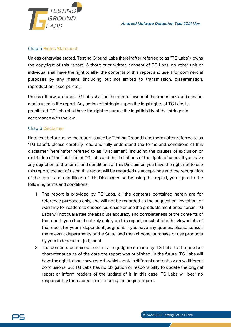

#### Chap.5 Rights Statement

Unless otherwise stated, Testing Ground Labs (hereinafter referred to as "TG Labs"), owns the copyright of this report. Without prior written consent of TG Labs, no other unit or individual shall have the right to alter the contents of this report and use it for commercial purposes by any means (including but not limited to transmission, dissemination, reproduction, excerpt, etc.).

Unless otherwise stated, TG Labs shall be the rightful owner of the trademarks and service marks used in the report. Any action of infringing upon the legal rights of TG Labs is prohibited. TG Labs shall have the right to pursue the legal liability of the infringer in accordance with the law.

#### Chap.6 Disclaimer

Note that before using the report issued by Testing Ground Labs (hereinafter referred to as "TG Labs"), please carefully read and fully understand the terms and conditions of this disclaimer (hereinafter referred to as "Disclaimer"), including the clauses of exclusion or restriction of the liabilities of TG Labs and the limitations of the rights of users. If you have any objection to the terms and conditions of this Disclaimer, you have the right not to use this report, the act of using this report will be regarded as acceptance and the recognition of the terms and conditions of this Disclaimer, so by using this report, you agree to the following terms and conditions:

- 1. The report is provided by TG Labs, all the contents contained herein are for reference purposes only, and will not be regarded as the suggestion, invitation, or warranty for readers to choose, purchase or use the products mentioned herein. TG Labs will not guarantee the absolute accuracy and completeness of the contents of the report; you should not rely solely on this report, or substitute the viewpoints of the report for your independent judgment. If you have any queries, please consult the relevant departments of the State, and then choose, purchase or use products by your independent judgment.
- 2. The contents contained herein is the judgment made by TG Labs to the product characteristics as of the date the report was published. In the future, TG Labs will have the right to issue new reports which contain different contents or draw different conclusions, but TG Labs has no obligation or responsibility to update the original report or inform readers of the update of it. In this case, TG Labs will bear no responsibility for readers' loss for using the original report.